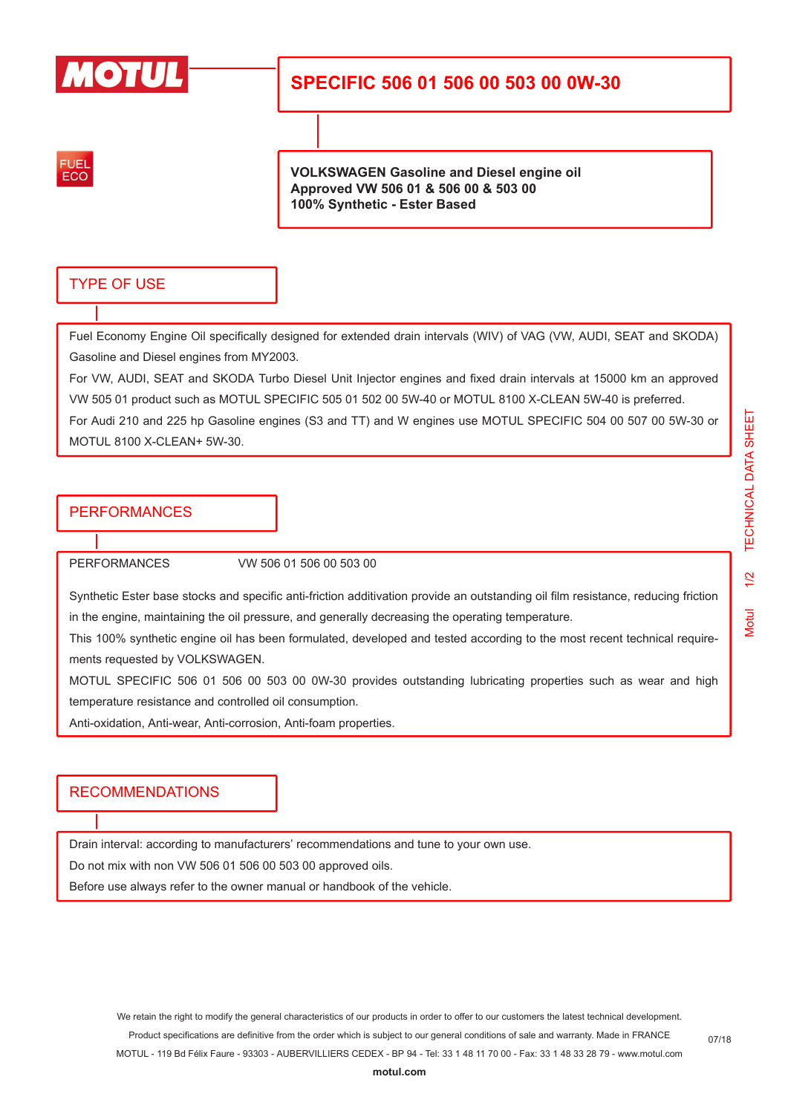

## **SPECIFIC 506 01 506 00 503 00 0W-30**

FUEL ECO

**VOLKSWAGEN Gasoline and Diesel engine oil Approved VW 506 01 & 506 00 & 503 00 100% Synthetic - Ester Based**

#### TYPE OF USE

Fuel Economy Engine Oil specifically designed for extended drain intervals (WIV) of VAG (VW, AUDI, SEAT and SKODA) Gasoline and Diesel engines from MY2003.

For VW, AUDI, SEAT and SKODA Turbo Diesel Unit Injector engines and fixed drain intervals at 15000 km an approved VW 505 01 product such as MOTUL SPECIFIC 505 01 502 00 5W-40 or MOTUL 8100 X-CLEAN 5W-40 is preferred.

For Audi 210 and 225 hp Gasoline engines (S3 and TT) and W engines use MOTUL SPECIFIC 504 00 507 00 5W-30 or MOTUL 8100 X-CLEAN+ 5W-30.

#### PERFORMANCES

PERFORMANCES VW 506 01 506 00 503 00

Synthetic Ester base stocks and specific anti-friction additivation provide an outstanding oil film resistance, reducing friction in the engine, maintaining the oil pressure, and generally decreasing the operating temperature.

This 100% synthetic engine oil has been formulated, developed and tested according to the most recent technical requirements requested by VOLKSWAGEN.

MOTUL SPECIFIC 506 01 506 00 503 00 0W-30 provides outstanding lubricating properties such as wear and high temperature resistance and controlled oil consumption.

Anti-oxidation, Anti-wear, Anti-corrosion, Anti-foam properties.

#### RECOMMENDATIONS

Drain interval: according to manufacturers' recommendations and tune to your own use.

Do not mix with non VW 506 01 506 00 503 00 approved oils.

Before use always refer to the owner manual or handbook of the vehicle.

07/18

We retain the right to modify the general characteristics of our products in order to offer to our customers the latest technical development. Product specifications are definitive from the order which is subject to our general conditions of sale and warranty. Made in FRANCE

MOTUL - 119 Bd Félix Faure - 93303 - AUBERVILLIERS CEDEX - BP 94 - Tel: 33 1 48 11 70 00 - Fax: 33 1 48 33 28 79 - www.motul.com